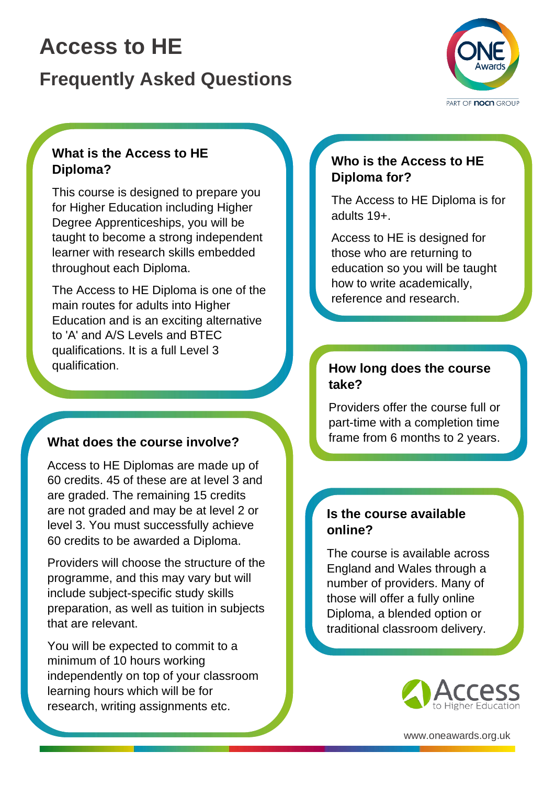# **Access to HE**

## **Frequently Asked Questions**



### **What is the Access to HE Diploma?**

This course is designed to prepare you for Higher Education including Higher Degree Apprenticeships, you will be taught to become a strong independent learner with research skills embedded throughout each Diploma.

The Access to HE Diploma is one of the main routes for adults into Higher Education and is an exciting alternative to 'A' and A/S Levels and BTEC qualifications. It is a full Level 3 qualification.

### **What does the course involve?**

Access to HE Diplomas are made up of 60 credits. 45 of these are at level 3 and are graded. The remaining 15 credits are not graded and may be at level 2 or level 3. You must successfully achieve 60 credits to be awarded a Diploma.

Providers will choose the structure of the programme, and this may vary but will include subject-specific study skills preparation, as well as tuition in subjects that are relevant.

You will be expected to commit to a minimum of 10 hours working independently on top of your classroom learning hours which will be for research, writing assignments etc.

### **Who is the Access to HE Diploma for?**

The Access to HE Diploma is for adults 19+.

Access to HE is designed for those who are returning to education so you will be taught how to write academically, reference and research.

### **How long does the course take?**

Providers offer the course full or part-time with a completion time frame from 6 months to 2 years.

#### **Is the course available online?**

The course is available across England and Wales through a number of providers. Many of those will offer a fully online Diploma, a blended option or traditional classroom delivery.



www.oneawards.org.uk